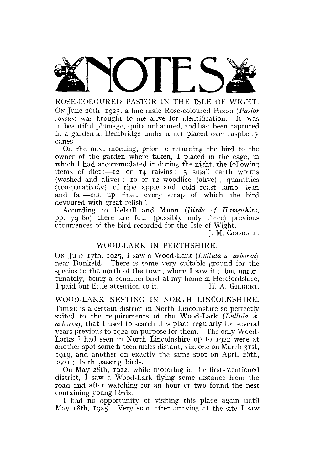ROSE-COLOURED PASTOR IN THE ISLE OF WIGHT.

ON June 26th, 1925, a fine male Rose-coloured Pastor *(Pastor roseus)* was brought to me alive for identification. It was in beautiful plumage, quite unharmed, and had been captured in a garden at Bembridge under a net placed over raspberry canes.

On the next morning, prior to returning the bird to the owner of the garden where taken, I placed in the cage, in which I had accommodated it during the night, the following items of diet:—12 or 14 raisins; 5 small earth worms (washed and alive) ; 10 or 12 woodlice (alive) ; quantities (comparatively) of ripe apple and cold roast lamb—lean and fat—cut up fine ; every scrap of which the bird devoured with great relish!

According to Kelsall and Munn *(Birds of Hampshire,*  pp. 79-80) there are four (possibly only three) previous occurrences of the bird recorded for the Isle of Wight.

J. M. GOODALL.

# WOOD-LARK IN PERTHSHIRE.

ON June 17th, 1925, I saw a Wood-Lark *(Lullula a. arborea)*  near Dunkeld. There is some very suitable ground for the species to the north of the town, where I saw it ; but unfortunately, being a common bird at my home in Herefordshire, I paid but little attention to it. H. A. GILBERT.

WOOD-LARK NESTING IN NORTH LINCOLNSHIRE. THERE is a certain district in North Lincolnshire so perfectly suited to the requirements of the Wood-Lark *(Lullula a. arborea),* that I used to search this place regularly for several years previous to 1922 on purpose for them. The only Wood-Larks I had seen in North Lincolnshire up to 1922 were at another spot some fi teen miles distant, viz. one on March 31st, 1919, and another on exactly the same spot on April 26th, 1921; both passing birds.

On May 28th, 1922, while motoring in the first-mentioned district, I saw a Wood-Lark flying some distance from the road and after watching for an hour or two found the nest containing young birds.

I had no opportunity of visiting this place again until May 18th, 1925. Very soon after arriving at the site I saw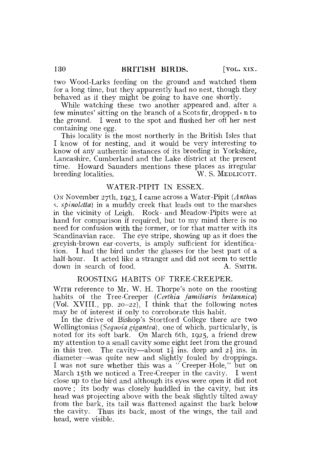two Wood-Larks feeding on the ground and watched them for a long time, but they apparently had no nest, though they behaved as if they might be going to have one shortly.

While watching these two another appeared and. after a. few minutes' sitting on the branch of a Scots fir, dropped  $\alpha$  n to the ground. I went to the spot and flushed her off her nest containing one egg.

This locality is the most northerly in the British Isles that I know of for nesting, and it would be very interesting to know of any authentic instances of its breeding in Yorkshire, Lancashire, Cumberland and the Lake district at the present time. Howard Saunders mentions these places as irregular breeding localities. W. S. MEDLICOTT. breeding localities.

## WATER-PIPIT IN ESSEX.

ON November 27th, 1923, I came across a Water-Pipit *(Anthus*  s. *spinoletta)* in a muddy creek that leads out to the marshes in the vicinity of Leigh. Rock- and Meadow-Pipits were at hand for comparison if required, but to my mind there is no need for confusion with the former, or for that matter with its Scandinavian race. The eye stripe, showing up as it does the greyish-brown ear-coverts, is amply sufficient for identification. I had the bird under the glasses for the best part of a half-hour. It acted like a stranger and did not seem to settle down in search of food. A. SMITH.

# ROOSTING HABITS OF TREE-CREEPER.

WITH reference to Mr. W. H. Thorpe's note on the roosting habits of the Tree-Creeper *(Certhia familiaris britannica)*  (Vol. XVIII., pp. 20–22), I think that the following notes may be of interest if only to corroborate this habit.

In the drive of Bishop's Stortford College there are two Wellingtonias *(Sequoia gigantea)*, one of which, particularly, is noted for its soft bark. On March 6th, 1925, a friend drew my attention to a small cavity some eight feet from the ground in this tree. The cavity—about  $I_{\frac{1}{2}}$  ins. deep and  $2\frac{1}{2}$  ins. in diameter—was quite new and slightly fouled by droppings. I was not sure whether this was a " Creeper-Hole," but on March 15th we noticed a Tree-Creeper in the cavity. I went close up to the bird and although its eyes were open it did not move ; its body was closely huddled in the cavity, but its head was projecting above with the beak slightly tilted away from the bark, its tail was flattened against the bark below the cavity. Thus its back, most of the wings, the tail and head, were visible.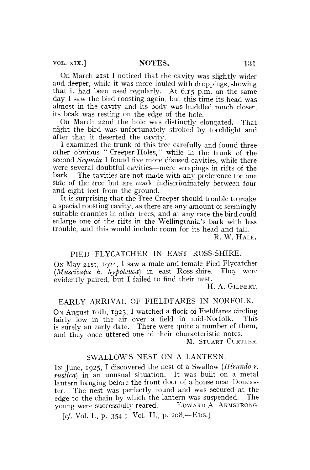On March 21st I noticed that the cavity was slightly wider and deeper, while it was more fouled with droppings, showing that it had been used regularly. At 6.15 p.m. on the same day I saw the bird roosting again, but this time its head was almost in the cavity and its body was huddled much closer, its beak was resting on the edge of the hole.

On March 22nd the hole was distinctly elongated. That night the bird was unfortunately stroked by torchlight and after that it deserted the cavity.

I examined the trunk of this tree carefully and found three other obvious " Creeper-Holes," while in the trunk of the second *Sequoia* I found five more disused cavities, while there were several doubtful cavities—mere scrapings in rifts of the bark. The cavities are not made with any preference for one side of the tree but are made indiscriminately between four and eight feet from the ground.

It is surprising that the Tree-Creeper should trouble to make a special roosting cavity, as there are any amount of seemingly suitable crannies in other trees, and at any rate the bird could enlarge one of the rifts in the Wellingtonia's bark with less trouble, and this would include room for its head and tail.

R. W. HALE.

#### PIED FLYCATCHER IN EAST ROSS-SHIRE.

ON May 21st,  $1924$ , I saw a male and female Pied Flycatcher *(Muscicapa h. hypoleuca)* in east Ross-shire. They were evidently paired, but I failed to find their nest.

H. A. GILBERT.

### EARLY ARRIVAL OF FIELDFARES IN NORFOLK.

ON August 10th, 1925, I watched a flock of Fieldfares circling fairly low in the air over a field in mid-Norfolk. This is surely an early date. There were quite a number of them, and they once uttered one of their characteristic notes.

M. STUART CURTLER.

### SWALLOW'S NEST ON A LANTERN.

IN June, 1925, I discovered the nest of a Swallow *(Hirundo r. rustica)* in an unusual situation. It was built on a metal lantern hanging before the front door of a house near Doncaster. The nest was perfectly round and was secured at the edge to the chain by which the lantern was suspended. The young were successfully reared. EDWARD A. ARMSTRONG.

*[cf.* **Vol.** I., p. 354 ; **Vol.** II., p. 208.—EDS.]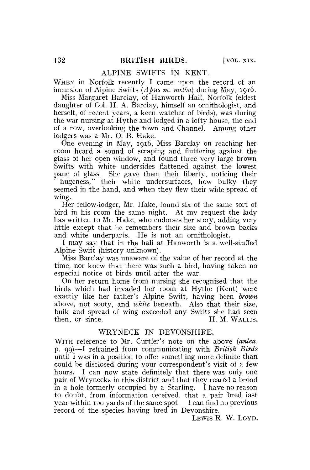#### ALPINE SWIFTS IN KENT.

WHEN in Norfolk recently I came upon the record of an incursion of Alpine Swifts *(Apus m. melba)* during May, 1916.

Miss Margaret Barclay, of Hanworth Hall, Norfolk (eldest daughter of Col. H. A. Barclay, himself an ornithologist, and herself, of recent years, a keen watcher of birds), was during the war nursing at Hythe and lodged in a lofty house, the end of a row, overlooking the town and Channel. Among other lodgers was a Mr. O. B. Hake.

One evening in May, 1916, Miss Barclay on reaching her room heard a sound of scraping and fluttering against the glass of her open window, and found three very large brown Swifts with white undersides flattened against the lowest pane of glass. She gave them their liberty, noticing their 'hugeness," their white undersurfaces, how bulky they seemed in the hand, and when they flew their wide spread of wing.

Her fellow-lodger, Mr. Hake, found six of the same sort of bird in his room the same night. At my request the lady has written to Mr. Hake, who endorses her story, adding very little except that he remembers their size and brown backs and white underparts. He is not an ornithologist.

I may say that in the hall at Hanworth is a well-stuffed Alpine Swift (history unknown).

Miss Barclay was unaware of the value of her record at the time, nor knew that there was such a bird, having taken no especial notice of birds until after the war.

On her return home from nursing she recognised that the birds which had invaded her room at Hythe (Kent) were exactly like her father's Alpine Swift, having been *brown*  above, not sooty, and *white* beneath. Also that their size, bulk and spread of wing exceeded any Swifts she had seen then, or since. H. M. WALLIS.

#### WRYNECK IN DEVONSHIRE.

WITH reference to Mr. Curtler's note on the above *(antea,*  p. 99)—I refrained from communicating with *British Birds*  until I was in a position to offei something more definite than could be disclosed during your correspondent's visit of a few hours. I can now state definitely that there was only one pair of Wrynecks in this district and that they reared a brood in a hole formerly occupied by a Starling. I have no reason to doubt, from information received, that a pair bred last year within 100 yards of the same spot. I can find no previous record of the species having bred in Devonshire.

LEWIS R. W. LOYD.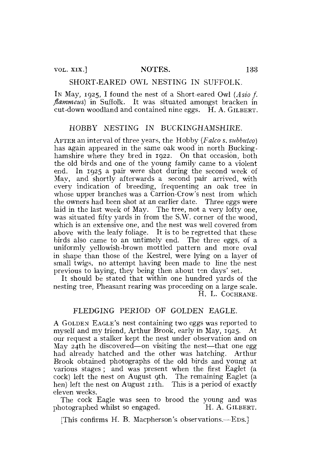IN May, 1925, I found the nest of a Short-eared Owl *(Asia f. flammeus)* in Suffolk. It was situated amongst bracken in cut-down woodland and contained nine eggs. H. A. GILBERT.

# HOBBY NESTING IN BUCKINGHAMSHIRE.

AFTER an interval of three years, the Hobby *(Falco s. subbuteo)*  has again appeared in the same oak wood in north Buckinghamshire where they bred in 1922. On that occasion, both the old birds and one of the young family came to a violent end. In 1925 a pair were shot during the second week of May, and shortly afterwards a second pair arrived, with every indication of breeding, frequenting an oak tree in whose upper branches was a Carrion-Crow's nest from which the owners had been shot at an earlier date. Three eggs were laid in the last week of May. The tree, not a very lofty one, was situated fifty yards in from the S.W. corner of the wood, which is an extensive one, and the nest was well covered from above with the leafy foliage. It is to be regretted that these birds also came to an untimely end. The three eggs, of a uniformly yellowish-brown mottled pattern and more oval in shape than those of the Kestrel, were lying on a layer of small twigs, no attempt having been made to line the nest previous to laying, they being then about ten days' set.

It should be stated that within one hundred yards of the nesting tree, Pheasant rearing was proceeding on a large scale. H. L. COCHRANE.

## FLEDGING PERIOD OF GOLDEN EAGLE.

A GOLDEN EAGLE'S nest containing two eggs was reported to myself and my friend, Arthur Brook, early in May, 1925. At our request a stalker kept the nest under observation and on May 24th he discovered—on visiting the nest—that one egg had already hatched and the other was hatching. Arthur Brook obtained photographs of the old birds and young at various stages ; and was present when the first Eaglet (a cock) left the nest on August 9th. The remaining Eaglet (a hen) left the nest on August 11th. This is a period of exactly eleven weeks.

The cock Eagle was seen to brood the young and was photographed whilst so engaged. H. A. GILBERT.

[This confirms H. B. Macpherson's observations.—EDS.]